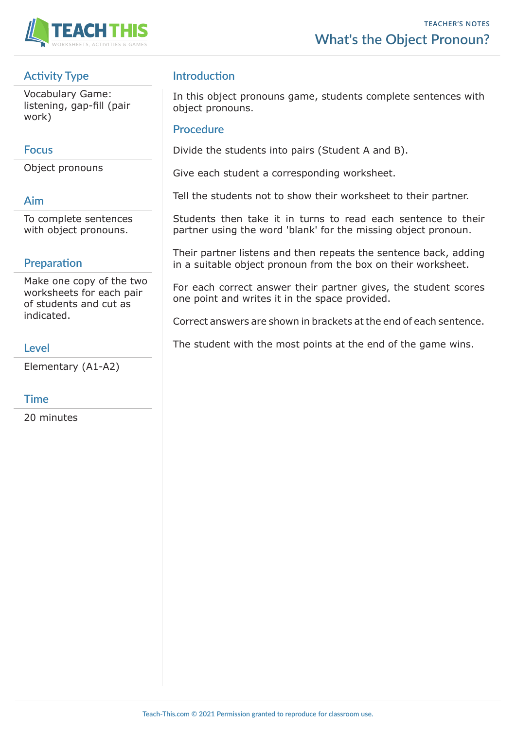

# **Activity Type**

Vocabulary Game: listening, gap-fill (pair work)

### **Focus**

Object pronouns

### **Aim**

To complete sentences with object pronouns.

### **Preparation**

Make one copy of the two worksheets for each pair of students and cut as indicated.

### **Level**

Elementary (A1-A2)

#### **Time**

20 minutes

## **Introduction**

In this object pronouns game, students complete sentences with object pronouns.

#### **Procedure**

Divide the students into pairs (Student A and B).

Give each student a corresponding worksheet.

Tell the students not to show their worksheet to their partner.

Students then take it in turns to read each sentence to their partner using the word 'blank' for the missing object pronoun.

Their partner listens and then repeats the sentence back, adding in a suitable object pronoun from the box on their worksheet.

For each correct answer their partner gives, the student scores one point and writes it in the space provided.

Correct answers are shown in brackets at the end of each sentence.

The student with the most points at the end of the game wins.